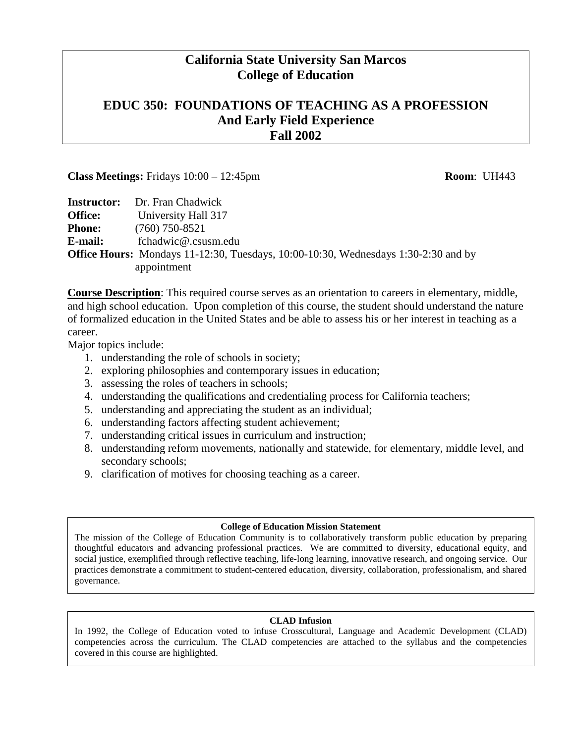## **California State University San Marcos College of Education**

## **EDUC 350: FOUNDATIONS OF TEACHING AS A PROFESSION And Early Field Experience Fall 2002**

**Class Meetings:** Fridays 10:00 – 12:45pm **Room**: UH443

**Instructor:** Dr. Fran Chadwick **Office:** University Hall 317 **Phone:** (760) 750-8521 **E-mail:** fchadwic@.csusm.edu **Office Hours:** Mondays 11-12:30, Tuesdays, 10:00-10:30, Wednesdays 1:30-2:30 and by appointment

**Course Description**: This required course serves as an orientation to careers in elementary, middle, and high school education. Upon completion of this course, the student should understand the nature of formalized education in the United States and be able to assess his or her interest in teaching as a career.

Major topics include:

- 1. understanding the role of schools in society;
- 2. exploring philosophies and contemporary issues in education;
- 3. assessing the roles of teachers in schools;
- 4. understanding the qualifications and credentialing process for California teachers;
- 5. understanding and appreciating the student as an individual;
- 6. understanding factors affecting student achievement;
- 7. understanding critical issues in curriculum and instruction;
- 8. understanding reform movements, nationally and statewide, for elementary, middle level, and secondary schools;
- 9. clarification of motives for choosing teaching as a career.

#### **College of Education Mission Statement**

The mission of the College of Education Community is to collaboratively transform public education by preparing thoughtful educators and advancing professional practices. We are committed to diversity, educational equity, and social justice, exemplified through reflective teaching, life-long learning, innovative research, and ongoing service. Our practices demonstrate a commitment to student-centered education, diversity, collaboration, professionalism, and shared governance.

#### **CLAD Infusion**

In 1992, the College of Education voted to infuse Crosscultural, Language and Academic Development (CLAD) competencies across the curriculum. The CLAD competencies are attached to the syllabus and the competencies covered in this course are highlighted.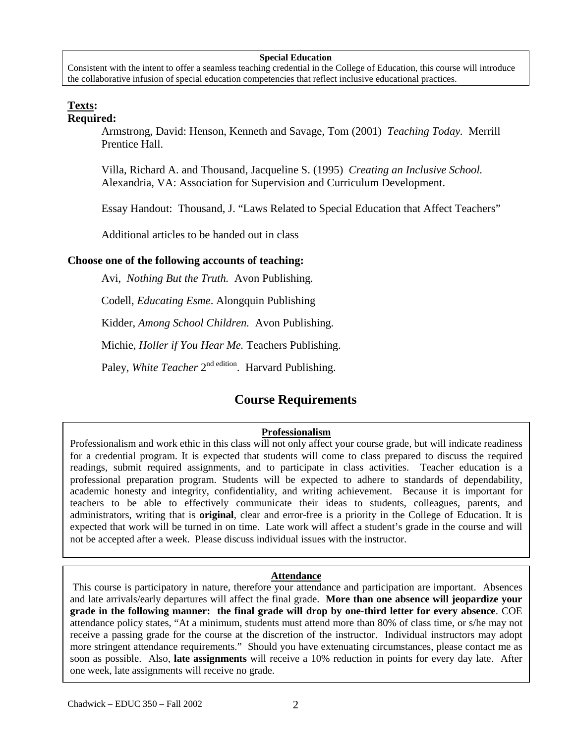#### **Special Education**

Consistent with the intent to offer a seamless teaching credential in the College of Education, this course will introduce the collaborative infusion of special education competencies that reflect inclusive educational practices.

#### **Texts: Required:**

Armstrong, David: Henson, Kenneth and Savage, Tom (2001) *Teaching Today.* Merrill Prentice Hall.

Villa, Richard A. and Thousand, Jacqueline S. (1995) *Creating an Inclusive School.*  Alexandria, VA: Association for Supervision and Curriculum Development.

Essay Handout: Thousand, J. "Laws Related to Special Education that Affect Teachers"

Additional articles to be handed out in class

#### **Choose one of the following accounts of teaching:**

Avi, *Nothing But the Truth.* Avon Publishing*.*

Codell, *Educating Esme*. Alongquin Publishing

Kidder, *Among School Children.* Avon Publishing.

Michie, *Holler if You Hear Me.* Teachers Publishing.

Paley, *White Teacher* 2<sup>nd edition</sup>. Harvard Publishing.

## **Course Requirements**

#### **Professionalism**

Professionalism and work ethic in this class will not only affect your course grade, but will indicate readiness for a credential program. It is expected that students will come to class prepared to discuss the required readings, submit required assignments, and to participate in class activities. Teacher education is a professional preparation program. Students will be expected to adhere to standards of dependability, academic honesty and integrity, confidentiality, and writing achievement. Because it is important for teachers to be able to effectively communicate their ideas to students, colleagues, parents, and administrators, writing that is **original**, clear and error-free is a priority in the College of Education. It is expected that work will be turned in on time. Late work will affect a student's grade in the course and will not be accepted after a week. Please discuss individual issues with the instructor.

#### **Attendance**

and late arrivals/early departures will affect the final grade. **More than one absence will jeopardize your** This course is participatory in nature, therefore your attendance and participation are important. Absences **grade in the following manner: the final grade will drop by one-third letter for every absence**. COE attendance policy states, "At a minimum, students must attend more than 80% of class time, or s/he may not receive a passing grade for the course at the discretion of the instructor. Individual instructors may adopt more stringent attendance requirements." Should you have extenuating circumstances, please contact me as soon as possible. Also, **late assignments** will receive a 10% reduction in points for every day late. After one week, late assignments will receive no grade.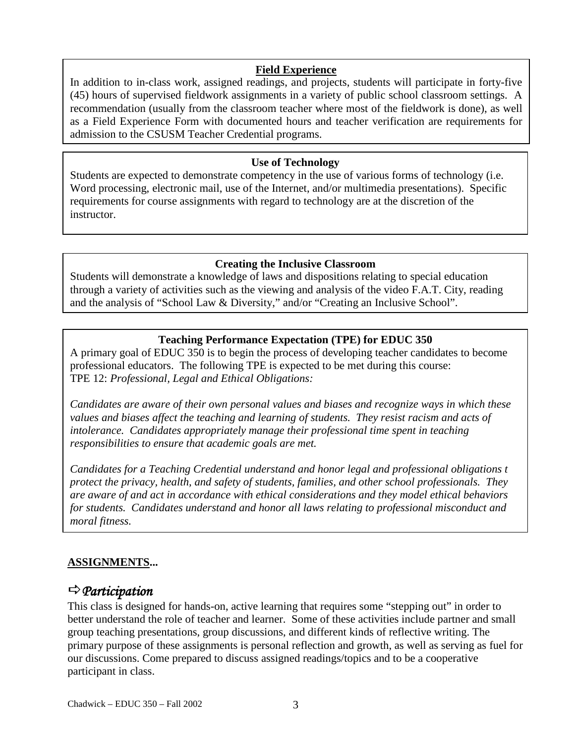#### **Field Experience**

In addition to in-class work, assigned readings, and projects, students will participate in forty-five (45) hours of supervised fieldwork assignments in a variety of public school classroom settings. A recommendation (usually from the classroom teacher where most of the fieldwork is done), as well as a Field Experience Form with documented hours and teacher verification are requirements for admission to the CSUSM Teacher Credential programs.

#### **Use of Technology**

Students are expected to demonstrate competency in the use of various forms of technology (i.e. Word processing, electronic mail, use of the Internet, and/or multimedia presentations). Specific requirements for course assignments with regard to technology are at the discretion of the instructor.

#### **Creating the Inclusive Classroom**

Students will demonstrate a knowledge of laws and dispositions relating to special education through a variety of activities such as the viewing and analysis of the video F.A.T. City, reading and the analysis of "School Law & Diversity," and/or "Creating an Inclusive School".

#### **Teaching Performance Expectation (TPE) for EDUC 350**

A primary goal of EDUC 350 is to begin the process of developing teacher candidates to become professional educators. The following TPE is expected to be met during this course: TPE 12: *Professional, Legal and Ethical Obligations:*

*Candidates are aware of their own personal values and biases and recognize ways in which these values and biases affect the teaching and learning of students. They resist racism and acts of intolerance. Candidates appropriately manage their professional time spent in teaching responsibilities to ensure that academic goals are met.*

*Candidates for a Teaching Credential understand and honor legal and professional obligations t protect the privacy, health, and safety of students, families, and other school professionals. They are aware of and act in accordance with ethical considerations and they model ethical behaviors for students. Candidates understand and honor all laws relating to professional misconduct and moral fitness.*

## **ASSIGNMENTS...**

## *Participation*

This class is designed for hands-on, active learning that requires some "stepping out" in order to better understand the role of teacher and learner. Some of these activities include partner and small group teaching presentations, group discussions, and different kinds of reflective writing. The primary purpose of these assignments is personal reflection and growth, as well as serving as fuel for our discussions. Come prepared to discuss assigned readings/topics and to be a cooperative participant in class.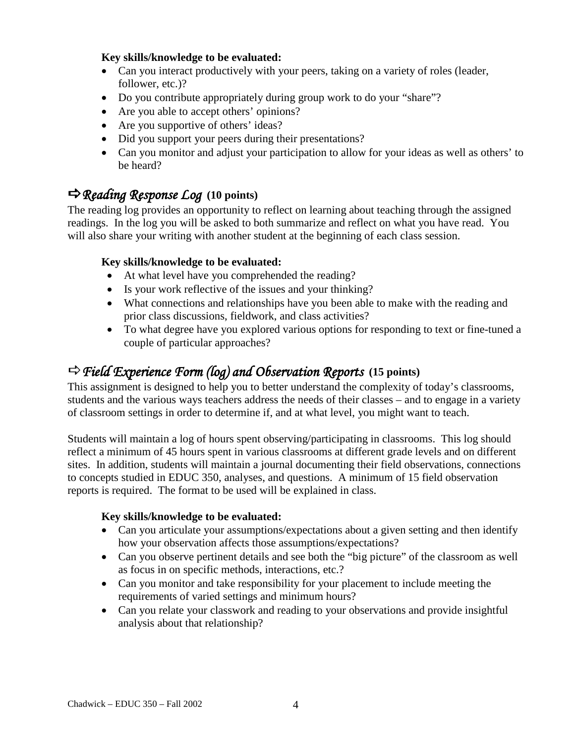#### **Key skills/knowledge to be evaluated:**

- Can you interact productively with your peers, taking on a variety of roles (leader, follower, etc.)?
- Do you contribute appropriately during group work to do your "share"?
- Are you able to accept others' opinions?
- Are you supportive of others' ideas?
- Did you support your peers during their presentations?
- Can you monitor and adjust your participation to allow for your ideas as well as others' to be heard?

## *Reading Response Log* **(10 points)**

The reading log provides an opportunity to reflect on learning about teaching through the assigned readings. In the log you will be asked to both summarize and reflect on what you have read. You will also share your writing with another student at the beginning of each class session.

#### **Key skills/knowledge to be evaluated:**

- At what level have you comprehended the reading?
- Is your work reflective of the issues and your thinking?
- What connections and relationships have you been able to make with the reading and prior class discussions, fieldwork, and class activities?
- To what degree have you explored various options for responding to text or fine-tuned a couple of particular approaches?

## *Field Experience Form (log) and Observation Reports* **(15 points)**

This assignment is designed to help you to better understand the complexity of today's classrooms, students and the various ways teachers address the needs of their classes – and to engage in a variety of classroom settings in order to determine if, and at what level, you might want to teach.

Students will maintain a log of hours spent observing/participating in classrooms. This log should reflect a minimum of 45 hours spent in various classrooms at different grade levels and on different sites. In addition, students will maintain a journal documenting their field observations, connections to concepts studied in EDUC 350, analyses, and questions. A minimum of 15 field observation reports is required. The format to be used will be explained in class.

#### **Key skills/knowledge to be evaluated:**

- Can you articulate your assumptions/expectations about a given setting and then identify how your observation affects those assumptions/expectations?
- Can you observe pertinent details and see both the "big picture" of the classroom as well as focus in on specific methods, interactions, etc.?
- Can you monitor and take responsibility for your placement to include meeting the requirements of varied settings and minimum hours?
- Can you relate your classwork and reading to your observations and provide insightful analysis about that relationship?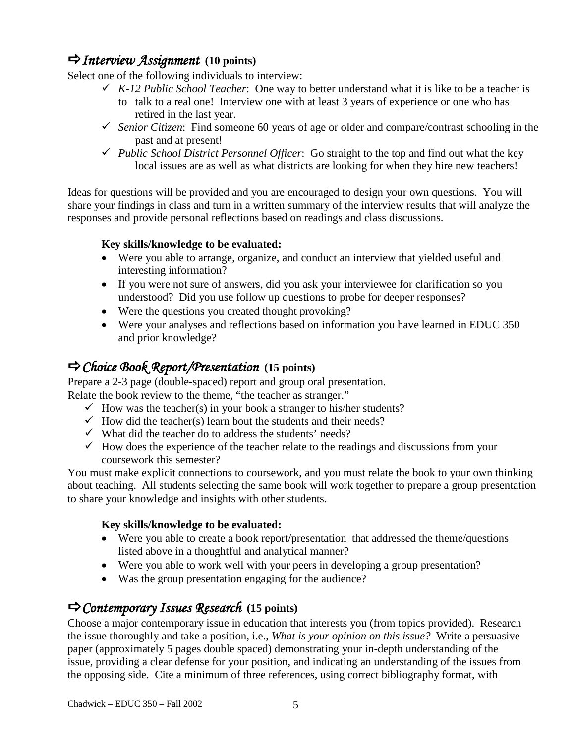## *Interview Assignment* **(10 points)**

Select one of the following individuals to interview:

- $K I2$  *Public School Teacher*: One way to better understand what it is like to be a teacher is to talk to a real one! Interview one with at least 3 years of experience or one who has retired in the last year.
- *Senior Citizen*: Find someone 60 years of age or older and compare/contrast schooling in the past and at present!
- *Public School District Personnel Officer*: Go straight to the top and find out what the key local issues are as well as what districts are looking for when they hire new teachers!

Ideas for questions will be provided and you are encouraged to design your own questions. You will share your findings in class and turn in a written summary of the interview results that will analyze the responses and provide personal reflections based on readings and class discussions.

#### **Key skills/knowledge to be evaluated:**

- Were you able to arrange, organize, and conduct an interview that yielded useful and interesting information?
- If you were not sure of answers, did you ask your interviewee for clarification so you understood? Did you use follow up questions to probe for deeper responses?
- Were the questions you created thought provoking?
- Were your analyses and reflections based on information you have learned in EDUC 350 and prior knowledge?

## *Choice Book Report/Presentation* **(15 points)**

Prepare a 2-3 page (double-spaced) report and group oral presentation. Relate the book review to the theme, "the teacher as stranger."

- $\checkmark$  How was the teacher(s) in your book a stranger to his/her students?
- $\checkmark$  How did the teacher(s) learn bout the students and their needs?
- $\checkmark$  What did the teacher do to address the students' needs?
- $\checkmark$  How does the experience of the teacher relate to the readings and discussions from your coursework this semester?

You must make explicit connections to coursework, and you must relate the book to your own thinking about teaching. All students selecting the same book will work together to prepare a group presentation to share your knowledge and insights with other students.

#### **Key skills/knowledge to be evaluated:**

- Were you able to create a book report/presentation that addressed the theme/questions listed above in a thoughtful and analytical manner?
- Were you able to work well with your peers in developing a group presentation?
- Was the group presentation engaging for the audience?

## *Contemporary Issues Research* **(15 points)**

Choose a major contemporary issue in education that interests you (from topics provided). Research the issue thoroughly and take a position, i.e., *What is your opinion on this issue?* Write a persuasive paper (approximately 5 pages double spaced) demonstrating your in-depth understanding of the issue, providing a clear defense for your position, and indicating an understanding of the issues from the opposing side. Cite a minimum of three references, using correct bibliography format, with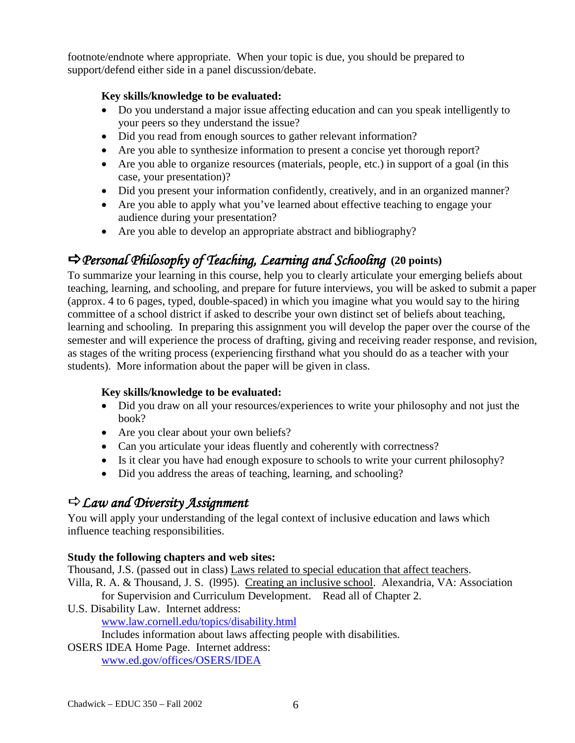footnote/endnote where appropriate. When your topic is due, you should be prepared to support/defend either side in a panel discussion/debate.

#### **Key skills/knowledge to be evaluated:**

- Do you understand a major issue affecting education and can you speak intelligently to your peers so they understand the issue?
- Did you read from enough sources to gather relevant information?
- Are you able to synthesize information to present a concise yet thorough report?
- Are you able to organize resources (materials, people, etc.) in support of a goal (in this case, your presentation)?
- Did you present your information confidently, creatively, and in an organized manner?
- Are you able to apply what you've learned about effective teaching to engage your audience during your presentation?
- Are you able to develop an appropriate abstract and bibliography?

## *Personal Philosophy of Teaching, Learning and Schooling* **(20 points)**

To summarize your learning in this course, help you to clearly articulate your emerging beliefs about teaching, learning, and schooling, and prepare for future interviews, you will be asked to submit a paper (approx. 4 to 6 pages, typed, double-spaced) in which you imagine what you would say to the hiring committee of a school district if asked to describe your own distinct set of beliefs about teaching, learning and schooling. In preparing this assignment you will develop the paper over the course of the semester and will experience the process of drafting, giving and receiving reader response, and revision, as stages of the writing process (experiencing firsthand what you should do as a teacher with your students). More information about the paper will be given in class.

## **Key skills/knowledge to be evaluated:**

- Did you draw on all your resources/experiences to write your philosophy and not just the book?
- Are you clear about your own beliefs?
- Can you articulate your ideas fluently and coherently with correctness?
- Is it clear you have had enough exposure to schools to write your current philosophy?
- Did you address the areas of teaching, learning, and schooling?

## *Law and Diversity Assignment*

You will apply your understanding of the legal context of inclusive education and laws which influence teaching responsibilities.

#### **Study the following chapters and web sites:**

Thousand, J.S. (passed out in class) Laws related to special education that affect teachers.

Villa, R. A. & Thousand, J. S. (l995). Creating an inclusive school. Alexandria, VA: Association for Supervision and Curriculum Development. Read all of Chapter 2.

U.S. Disability Law. Internet address:

www.law.cornell.edu/topics/disability.html

Includes information about laws affecting people with disabilities.

OSERS IDEA Home Page. Internet address:

www.ed.gov/offices/OSERS/IDEA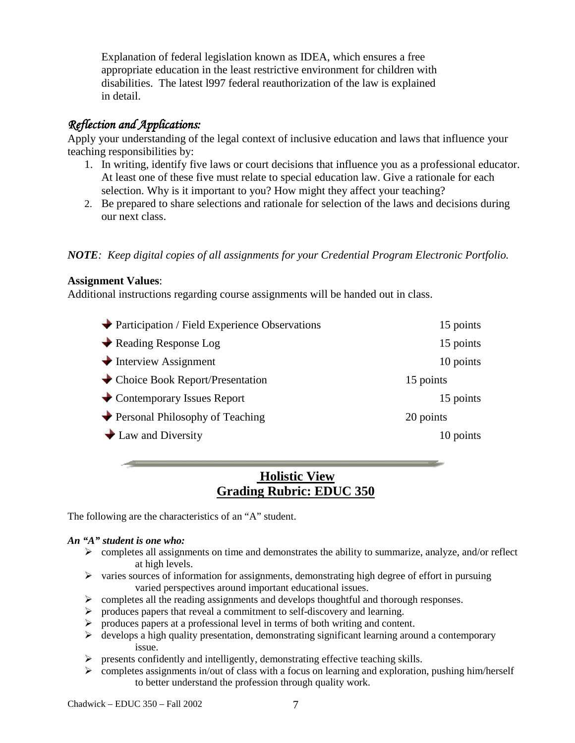Explanation of federal legislation known as IDEA, which ensures a free appropriate education in the least restrictive environment for children with disabilities. The latest l997 federal reauthorization of the law is explained in detail.

## *Reflection and Applications:*

Apply your understanding of the legal context of inclusive education and laws that influence your teaching responsibilities by:

- 1. In writing, identify five laws or court decisions that influence you as a professional educator. At least one of these five must relate to special education law. Give a rationale for each selection. Why is it important to you? How might they affect your teaching?
- 2. Be prepared to share selections and rationale for selection of the laws and decisions during our next class.

*NOTE: Keep digital copies of all assignments for your Credential Program Electronic Portfolio.* 

#### **Assignment Values**:

Additional instructions regarding course assignments will be handed out in class.

| ◆ Participation / Field Experience Observations | 15 points |
|-------------------------------------------------|-----------|
| Reading Response Log                            | 15 points |
| $\blacktriangleright$ Interview Assignment      | 10 points |
| Choice Book Report/Presentation                 | 15 points |
| Contemporary Issues Report                      | 15 points |
| <b>◆ Personal Philosophy of Teaching</b>        | 20 points |
| Law and Diversity                               | 10 points |

## **Holistic View Grading Rubric: EDUC 350**

The following are the characteristics of an "A" student.

#### *An "A" student is one who:*

- $\triangleright$  completes all assignments on time and demonstrates the ability to summarize, analyze, and/or reflect at high levels.
- $\triangleright$  varies sources of information for assignments, demonstrating high degree of effort in pursuing varied perspectives around important educational issues.
- $\triangleright$  completes all the reading assignments and develops thoughtful and thorough responses.
- $\triangleright$  produces papers that reveal a commitment to self-discovery and learning.
- $\triangleright$  produces papers at a professional level in terms of both writing and content.
- $\triangleright$  develops a high quality presentation, demonstrating significant learning around a contemporary issue.
- $\triangleright$  presents confidently and intelligently, demonstrating effective teaching skills.
- $\triangleright$  completes assignments in/out of class with a focus on learning and exploration, pushing him/herself to better understand the profession through quality work.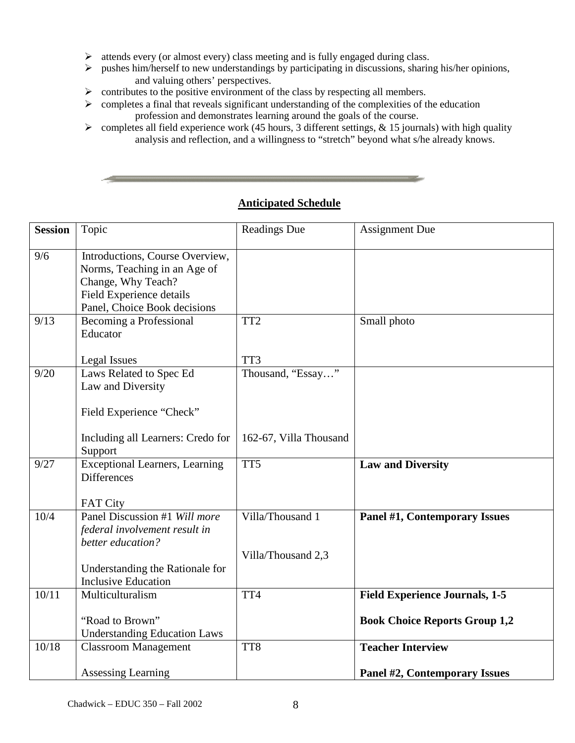- $\triangleright$  attends every (or almost every) class meeting and is fully engaged during class.
- $\triangleright$  pushes him/herself to new understandings by participating in discussions, sharing his/her opinions, and valuing others' perspectives.
- $\triangleright$  contributes to the positive environment of the class by respecting all members.
- $\triangleright$  completes a final that reveals significant understanding of the complexities of the education profession and demonstrates learning around the goals of the course.
- $\triangleright$  completes all field experience work (45 hours, 3 different settings, & 15 journals) with high quality analysis and reflection, and a willingness to "stretch" beyond what s/he already knows.

#### **Anticipated Schedule**

| <b>Session</b> | Topic                                                                                                                                                | <b>Readings Due</b>                         | <b>Assignment Due</b>                                                         |
|----------------|------------------------------------------------------------------------------------------------------------------------------------------------------|---------------------------------------------|-------------------------------------------------------------------------------|
| 9/6            | Introductions, Course Overview,<br>Norms, Teaching in an Age of<br>Change, Why Teach?<br>Field Experience details<br>Panel, Choice Book decisions    |                                             |                                                                               |
| 9/13           | Becoming a Professional<br>Educator<br><b>Legal Issues</b>                                                                                           | TT <sub>2</sub><br>TT3                      | Small photo                                                                   |
| 9/20           | Laws Related to Spec Ed<br>Law and Diversity<br>Field Experience "Check"<br>Including all Learners: Credo for                                        | Thousand, "Essay"<br>162-67, Villa Thousand |                                                                               |
|                | Support                                                                                                                                              |                                             |                                                                               |
| 9/27           | <b>Exceptional Learners, Learning</b><br><b>Differences</b><br><b>FAT City</b>                                                                       | TT <sub>5</sub>                             | <b>Law and Diversity</b>                                                      |
| 10/4           | Panel Discussion #1 Will more<br>federal involvement result in<br>better education?<br>Understanding the Rationale for<br><b>Inclusive Education</b> | Villa/Thousand 1<br>Villa/Thousand 2,3      | Panel #1, Contemporary Issues                                                 |
| 10/11          | Multiculturalism<br>"Road to Brown"<br><b>Understanding Education Laws</b>                                                                           | TT4                                         | <b>Field Experience Journals, 1-5</b><br><b>Book Choice Reports Group 1,2</b> |
| 10/18          | <b>Classroom Management</b><br><b>Assessing Learning</b>                                                                                             | TT <sub>8</sub>                             | <b>Teacher Interview</b><br>Panel #2, Contemporary Issues                     |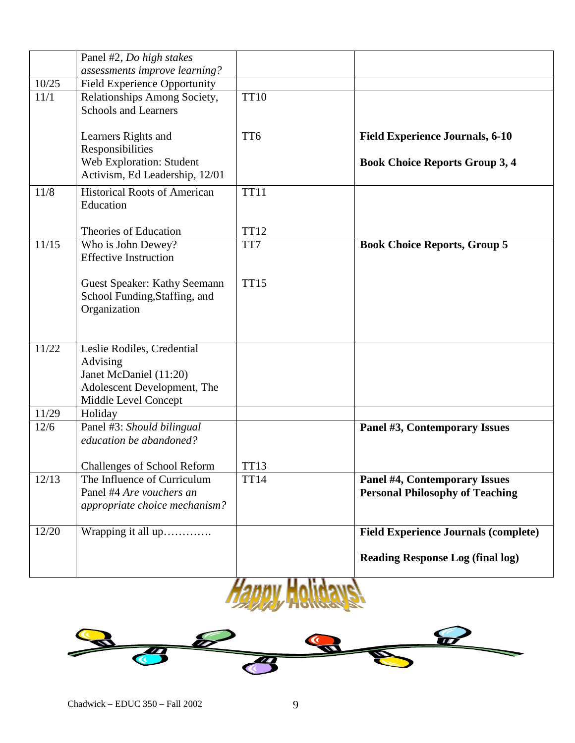|       | Panel #2, Do high stakes                                          |                     |                                             |
|-------|-------------------------------------------------------------------|---------------------|---------------------------------------------|
|       | assessments improve learning?                                     |                     |                                             |
| 10/25 | <b>Field Experience Opportunity</b>                               |                     |                                             |
| 11/1  | Relationships Among Society,                                      | <b>TT10</b>         |                                             |
|       | <b>Schools and Learners</b>                                       |                     |                                             |
|       |                                                                   |                     |                                             |
|       | Learners Rights and<br>Responsibilities                           | TT6                 | <b>Field Experience Journals, 6-10</b>      |
|       | Web Exploration: Student                                          |                     | <b>Book Choice Reports Group 3, 4</b>       |
|       | Activism, Ed Leadership, 12/01                                    |                     |                                             |
|       |                                                                   |                     |                                             |
| 11/8  | <b>Historical Roots of American</b><br>Education                  | <b>TT11</b>         |                                             |
|       |                                                                   |                     |                                             |
|       | Theories of Education                                             | <b>TT12</b>         |                                             |
| 11/15 | Who is John Dewey?                                                | TT7                 | <b>Book Choice Reports, Group 5</b>         |
|       | <b>Effective Instruction</b>                                      |                     |                                             |
|       |                                                                   |                     |                                             |
|       | <b>Guest Speaker: Kathy Seemann</b>                               | <b>TT15</b>         |                                             |
|       | School Funding, Staffing, and                                     |                     |                                             |
|       | Organization                                                      |                     |                                             |
|       |                                                                   |                     |                                             |
| 11/22 | Leslie Rodiles, Credential                                        |                     |                                             |
|       | Advising                                                          |                     |                                             |
|       | Janet McDaniel (11:20)                                            |                     |                                             |
|       | Adolescent Development, The                                       |                     |                                             |
|       | Middle Level Concept                                              |                     |                                             |
| 11/29 | Holiday                                                           |                     |                                             |
| 12/6  | Panel #3: Should bilingual                                        |                     | Panel #3, Contemporary Issues               |
|       | education be abandoned?                                           |                     |                                             |
|       |                                                                   |                     |                                             |
| 12/13 | <b>Challenges of School Reform</b><br>The Influence of Curriculum | TT13<br><b>TT14</b> | Panel #4, Contemporary Issues               |
|       | Panel #4 Are vouchers an                                          |                     | <b>Personal Philosophy of Teaching</b>      |
|       | appropriate choice mechanism?                                     |                     |                                             |
|       |                                                                   |                     |                                             |
| 12/20 | Wrapping it all up                                                |                     | <b>Field Experience Journals (complete)</b> |
|       |                                                                   |                     |                                             |
|       |                                                                   |                     | <b>Reading Response Log (final log)</b>     |
|       |                                                                   |                     |                                             |